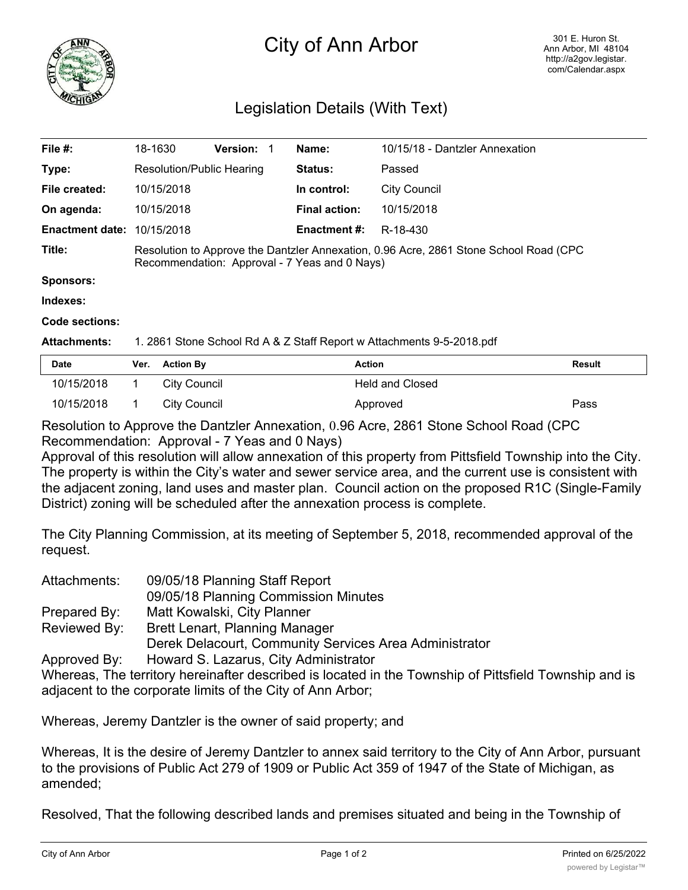

## City of Ann Arbor

## Legislation Details (With Text)

| File #:                | 18-1630                                                                                                                                | Version: 1 | Name:                | 10/15/18 - Dantzler Annexation |
|------------------------|----------------------------------------------------------------------------------------------------------------------------------------|------------|----------------------|--------------------------------|
| Type:                  | Resolution/Public Hearing                                                                                                              |            | Status:              | Passed                         |
| File created:          | 10/15/2018                                                                                                                             |            | In control:          | City Council                   |
| On agenda:             | 10/15/2018                                                                                                                             |            | <b>Final action:</b> | 10/15/2018                     |
| <b>Enactment date:</b> | 10/15/2018                                                                                                                             |            | <b>Enactment #:</b>  | R-18-430                       |
| Title:                 | Resolution to Approve the Dantzler Annexation, 0.96 Acre, 2861 Stone School Road (CPC<br>Recommendation: Approval - 7 Yeas and 0 Nays) |            |                      |                                |
| <b>Sponsors:</b>       |                                                                                                                                        |            |                      |                                |
| Indexes:               |                                                                                                                                        |            |                      |                                |

**Code sections:**

**Attachments:** 1. 2861 Stone School Rd A & Z Staff Report w Attachments 9-5-2018.pdf

| <b>Date</b> | Ver. Action By | Action                 | Result |
|-------------|----------------|------------------------|--------|
| 10/15/2018  | City Council   | <b>Held and Closed</b> |        |
| 10/15/2018  | City Council   | Approved               | Pass   |

Resolution to Approve the Dantzler Annexation, 0.96 Acre, 2861 Stone School Road (CPC Recommendation: Approval - 7 Yeas and 0 Nays)

Approval of this resolution will allow annexation of this property from Pittsfield Township into the City. The property is within the City's water and sewer service area, and the current use is consistent with the adjacent zoning, land uses and master plan. Council action on the proposed R1C (Single-Family District) zoning will be scheduled after the annexation process is complete.

The City Planning Commission, at its meeting of September 5, 2018, recommended approval of the request.

| Attachments: | 09/05/18 Planning Staff Report                         |  |  |  |
|--------------|--------------------------------------------------------|--|--|--|
|              | 09/05/18 Planning Commission Minutes                   |  |  |  |
| Prepared By: | Matt Kowalski, City Planner                            |  |  |  |
| Reviewed By: | <b>Brett Lenart, Planning Manager</b>                  |  |  |  |
|              | Derek Delacourt, Community Services Area Administrator |  |  |  |
| Approved By: | Howard S. Lazarus, City Administrator                  |  |  |  |

Whereas, The territory hereinafter described is located in the Township of Pittsfield Township and is adjacent to the corporate limits of the City of Ann Arbor;

Whereas, Jeremy Dantzler is the owner of said property; and

Whereas, It is the desire of Jeremy Dantzler to annex said territory to the City of Ann Arbor, pursuant to the provisions of Public Act 279 of 1909 or Public Act 359 of 1947 of the State of Michigan, as amended;

Resolved, That the following described lands and premises situated and being in the Township of